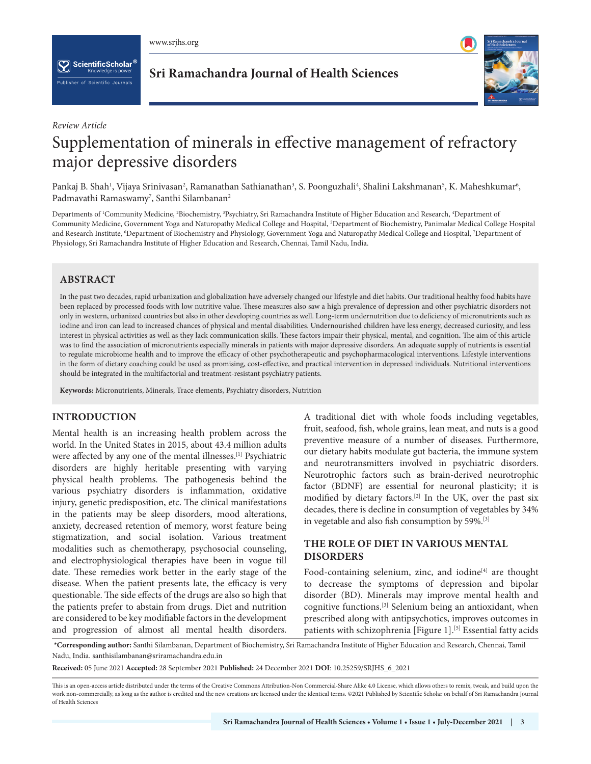$[\![ \bigcirc ]\!]$  ScientificScholar $^{\mathfrak{G}}$ blisher of Scientific Journals



## *Review Article*

# Supplementation of minerals in effective management of refractory major depressive disorders

Pankaj B. Shah<sup>1</sup>, Vijaya Srinivasan<sup>2</sup>, Ramanathan Sathianathan<sup>3</sup>, S. Poonguzhali<sup>4</sup>, Shalini Lakshmanan<sup>5</sup>, K. Maheshkumar<sup>6</sup>, Padmavathi Ramaswamy<sup>7</sup>, Santhi Silambanan<sup>2</sup>

Departments of <sup>1</sup>Community Medicine, <sup>2</sup>Biochemistry, <sup>3</sup>Psychiatry, Sri Ramachandra Institute of Higher Education and Research, <sup>4</sup>Department of Community Medicine, Government Yoga and Naturopathy Medical College and Hospital, 5 Department of Biochemistry, Panimalar Medical College Hospital and Research Institute, 'Department of Biochemistry and Physiology, Government Yoga and Naturopathy Medical College and Hospital, 'Department of Physiology, Sri Ramachandra Institute of Higher Education and Research, Chennai, Tamil Nadu, India.

# **ABSTRACT**

In the past two decades, rapid urbanization and globalization have adversely changed our lifestyle and diet habits. Our traditional healthy food habits have been replaced by processed foods with low nutritive value. These measures also saw a high prevalence of depression and other psychiatric disorders not only in western, urbanized countries but also in other developing countries as well. Long-term undernutrition due to deficiency of micronutrients such as iodine and iron can lead to increased chances of physical and mental disabilities. Undernourished children have less energy, decreased curiosity, and less interest in physical activities as well as they lack communication skills. These factors impair their physical, mental, and cognition**.** The aim of this article was to find the association of micronutrients especially minerals in patients with major depressive disorders. An adequate supply of nutrients is essential to regulate microbiome health and to improve the efficacy of other psychotherapeutic and psychopharmacological interventions. Lifestyle interventions in the form of dietary coaching could be used as promising, cost-effective, and practical intervention in depressed individuals. Nutritional interventions should be integrated in the multifactorial and treatment-resistant psychiatry patients.

**Keywords:** Micronutrients, Minerals, Trace elements, Psychiatry disorders, Nutrition

# **INTRODUCTION**

Mental health is an increasing health problem across the world. In the United States in 2015, about 43.4 million adults were affected by any one of the mental illnesses.<sup>[1]</sup> Psychiatric disorders are highly heritable presenting with varying physical health problems. The pathogenesis behind the various psychiatry disorders is inflammation, oxidative injury, genetic predisposition, etc. The clinical manifestations in the patients may be sleep disorders, mood alterations, anxiety, decreased retention of memory, worst feature being stigmatization, and social isolation. Various treatment modalities such as chemotherapy, psychosocial counseling, and electrophysiological therapies have been in vogue till date. These remedies work better in the early stage of the disease. When the patient presents late, the efficacy is very questionable. The side effects of the drugs are also so high that the patients prefer to abstain from drugs. Diet and nutrition are considered to be key modifiable factors in the development and progression of almost all mental health disorders.

A traditional diet with whole foods including vegetables, fruit, seafood, fish, whole grains, lean meat, and nuts is a good preventive measure of a number of diseases. Furthermore, our dietary habits modulate gut bacteria, the immune system and neurotransmitters involved in psychiatric disorders. Neurotrophic factors such as brain-derived neurotrophic factor (BDNF) are essential for neuronal plasticity; it is modified by dietary factors.[2] In the UK, over the past six decades, there is decline in consumption of vegetables by 34% in vegetable and also fish consumption by 59%.[3]

# **THE ROLE OF DIET IN VARIOUS MENTAL DISORDERS**

Food-containing selenium, zinc, and iodine<sup>[4]</sup> are thought to decrease the symptoms of depression and bipolar disorder (BD). Minerals may improve mental health and cognitive functions.[3] Selenium being an antioxidant, when prescribed along with antipsychotics, improves outcomes in patients with schizophrenia [Figure 1].<sup>[5]</sup> Essential fatty acids

 **\*Corresponding author:** Santhi Silambanan, Department of Biochemistry, Sri Ramachandra Institute of Higher Education and Research, Chennai, Tamil Nadu, India. santhisilambanan@sriramachandra.edu.in

**Received:** 05 June 2021 **Accepted:** 28 September 2021 **Published:** 24 December 2021 **DOI**: [10.25259/SRJHS\\_6\\_2021](https://dx.doi.org/10.25259/SRJHS_6_2021)

This is an open-access article distributed under the terms of the Creative Commons Attribution-Non Commercial-Share Alike 4.0 License, which allows others to remix, tweak, and build upon the work non-commercially, as long as the author is credited and the new creations are licensed under the identical terms. ©2021 Published by Scientific Scholar on behalf of Sri Ramachandra Journal of Health Sciences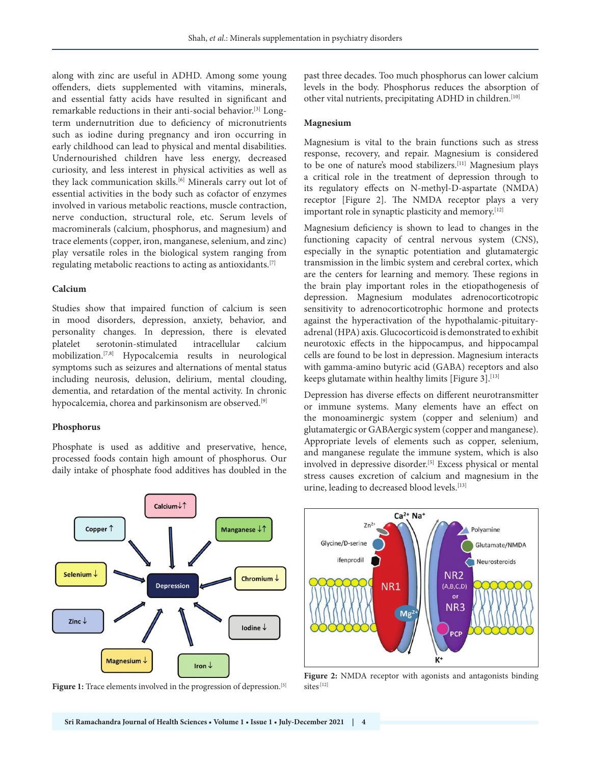along with zinc are useful in ADHD. Among some young offenders, diets supplemented with vitamins, minerals, and essential fatty acids have resulted in significant and remarkable reductions in their anti-social behavior.[3] Longterm undernutrition due to deficiency of micronutrients such as iodine during pregnancy and iron occurring in early childhood can lead to physical and mental disabilities. Undernourished children have less energy, decreased curiosity, and less interest in physical activities as well as they lack communication skills.<sup>[6]</sup> Minerals carry out lot of essential activities in the body such as cofactor of enzymes involved in various metabolic reactions, muscle contraction, nerve conduction, structural role, etc. Serum levels of macrominerals (calcium, phosphorus, and magnesium) and trace elements (copper, iron, manganese, selenium, and zinc) play versatile roles in the biological system ranging from regulating metabolic reactions to acting as antioxidants.[7]

## **Calcium**

Studies show that impaired function of calcium is seen in mood disorders, depression, anxiety, behavior, and personality changes. In depression, there is elevated platelet serotonin-stimulated intracellular calcium mobilization.[7,8] Hypocalcemia results in neurological symptoms such as seizures and alternations of mental status including neurosis, delusion, delirium, mental clouding, dementia, and retardation of the mental activity. In chronic hypocalcemia, chorea and parkinsonism are observed.<sup>[9]</sup>

## **Phosphorus**

Phosphate is used as additive and preservative, hence, processed foods contain high amount of phosphorus. Our daily intake of phosphate food additives has doubled in the

past three decades. Too much phosphorus can lower calcium levels in the body. Phosphorus reduces the absorption of other vital nutrients, precipitating ADHD in children.[10]

## **Magnesium**

Magnesium is vital to the brain functions such as stress response, recovery, and repair. Magnesium is considered to be one of nature's mood stabilizers.[11] Magnesium plays a critical role in the treatment of depression through to its regulatory effects on N-methyl-D-aspartate (NMDA) receptor [Figure 2]. The NMDA receptor plays a very important role in synaptic plasticity and memory.<sup>[12]</sup>

Magnesium deficiency is shown to lead to changes in the functioning capacity of central nervous system (CNS), especially in the synaptic potentiation and glutamatergic transmission in the limbic system and cerebral cortex, which are the centers for learning and memory. These regions in the brain play important roles in the etiopathogenesis of depression. Magnesium modulates adrenocorticotropic sensitivity to adrenocorticotrophic hormone and protects against the hyperactivation of the hypothalamic-pituitaryadrenal (HPA) axis. Glucocorticoid is demonstrated to exhibit neurotoxic effects in the hippocampus, and hippocampal cells are found to be lost in depression. Magnesium interacts with gamma-amino butyric acid (GABA) receptors and also keeps glutamate within healthy limits [Figure 3]. $[13]$ 

Depression has diverse effects on different neurotransmitter or immune systems. Many elements have an effect on the monoaminergic system (copper and selenium) and glutamatergic or GABAergic system (copper and manganese). Appropriate levels of elements such as copper, selenium, and manganese regulate the immune system, which is also involved in depressive disorder.<sup>[5]</sup> Excess physical or mental stress causes excretion of calcium and magnesium in the urine, leading to decreased blood levels.<sup>[13]</sup>



Figure 1: Trace elements involved in the progression of depression.<sup>[5]</sup>



Figure 2: NMDA receptor with agonists and antagonists binding sites<sup>{12}</sup>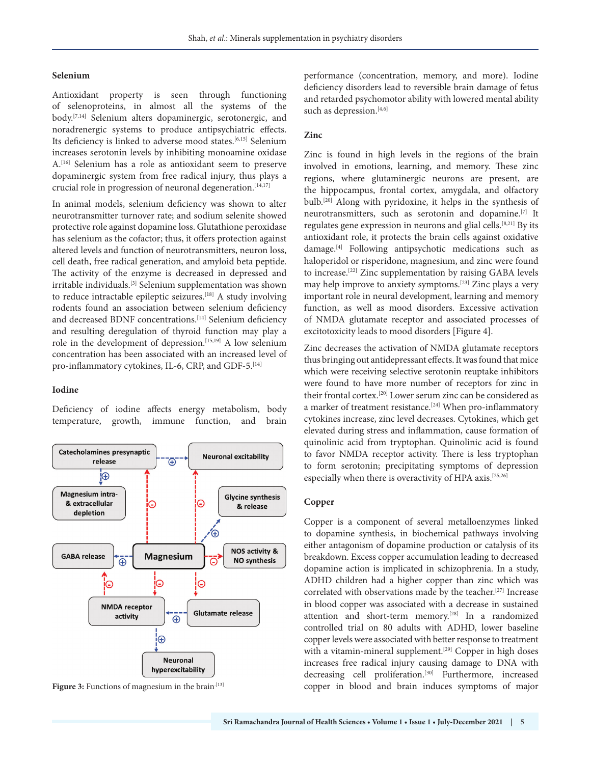## **Selenium**

Antioxidant property is seen through functioning of selenoproteins, in almost all the systems of the body.[7,14] Selenium alters dopaminergic, serotonergic, and noradrenergic systems to produce antipsychiatric effects. Its deficiency is linked to adverse mood states.<sup>[6,15]</sup> Selenium increases serotonin levels by inhibiting monoamine oxidase A.[16] Selenium has a role as antioxidant seem to preserve dopaminergic system from free radical injury, thus plays a crucial role in progression of neuronal degeneration.[14,17]

In animal models, selenium deficiency was shown to alter neurotransmitter turnover rate; and sodium selenite showed protective role against dopamine loss. Glutathione peroxidase has selenium as the cofactor; thus, it offers protection against altered levels and function of neurotransmitters, neuron loss, cell death, free radical generation, and amyloid beta peptide. The activity of the enzyme is decreased in depressed and irritable individuals.[3] Selenium supplementation was shown to reduce intractable epileptic seizures.[18] A study involving rodents found an association between selenium deficiency and decreased BDNF concentrations.<sup>[14]</sup> Selenium deficiency and resulting deregulation of thyroid function may play a role in the development of depression.<sup>[15,19]</sup> A low selenium concentration has been associated with an increased level of pro-inflammatory cytokines, IL-6, CRP, and GDF-5.<sup>[14]</sup>

## **Iodine**

Deficiency of iodine affects energy metabolism, body temperature, growth, immune function, and brain



performance (concentration, memory, and more). Iodine deficiency disorders lead to reversible brain damage of fetus and retarded psychomotor ability with lowered mental ability such as depression.<sup>[4,6]</sup>

## **Zinc**

Zinc is found in high levels in the regions of the brain involved in emotions, learning, and memory. These zinc regions, where glutaminergic neurons are present, are the hippocampus, frontal cortex, amygdala, and olfactory bulb.[20] Along with pyridoxine, it helps in the synthesis of neurotransmitters, such as serotonin and dopamine.[7] It regulates gene expression in neurons and glial cells.[8,21] By its antioxidant role, it protects the brain cells against oxidative damage.[4] Following antipsychotic medications such as haloperidol or risperidone, magnesium, and zinc were found to increase.[22] Zinc supplementation by raising GABA levels may help improve to anxiety symptoms.[23] Zinc plays a very important role in neural development, learning and memory function, as well as mood disorders. Excessive activation of NMDA glutamate receptor and associated processes of excitotoxicity leads to mood disorders [Figure 4].

Zinc decreases the activation of NMDA glutamate receptors thus bringing out antidepressant effects. It was found that mice which were receiving selective serotonin reuptake inhibitors were found to have more number of receptors for zinc in their frontal cortex.[20] Lower serum zinc can be considered as a marker of treatment resistance.<sup>[24]</sup> When pro-inflammatory cytokines increase, zinc level decreases. Cytokines, which get elevated during stress and inflammation, cause formation of quinolinic acid from tryptophan. Quinolinic acid is found to favor NMDA receptor activity. There is less tryptophan to form serotonin; precipitating symptoms of depression especially when there is overactivity of HPA axis.<sup>[25,26]</sup>

## **Copper**

Copper is a component of several metalloenzymes linked to dopamine synthesis, in biochemical pathways involving either antagonism of dopamine production or catalysis of its breakdown. Excess copper accumulation leading to decreased dopamine action is implicated in schizophrenia. In a study, ADHD children had a higher copper than zinc which was correlated with observations made by the teacher.[27] Increase in blood copper was associated with a decrease in sustained attention and short-term memory.[28] In a randomized controlled trial on 80 adults with ADHD, lower baseline copper levels were associated with better response to treatment with a vitamin-mineral supplement.<sup>[29]</sup> Copper in high doses increases free radical injury causing damage to DNA with decreasing cell proliferation.<sup>[30]</sup> Furthermore, increased **Figure 3:** Functions of magnesium in the brain<sup>[13]</sup> copper in blood and brain induces symptoms of major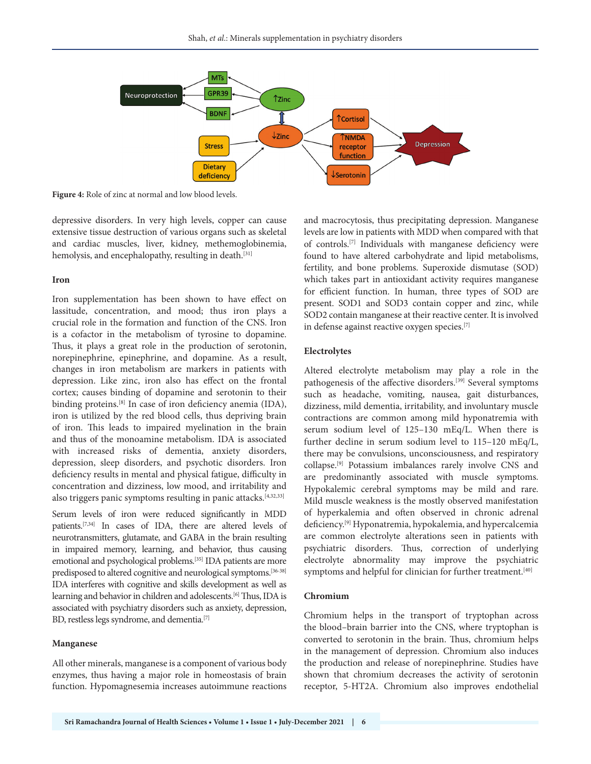

**Figure 4:** Role of zinc at normal and low blood levels.

depressive disorders. In very high levels, copper can cause extensive tissue destruction of various organs such as skeletal and cardiac muscles, liver, kidney, methemoglobinemia, hemolysis, and encephalopathy, resulting in death.<sup>[31]</sup>

#### **Iron**

Iron supplementation has been shown to have effect on lassitude, concentration, and mood; thus iron plays a crucial role in the formation and function of the CNS. Iron is a cofactor in the metabolism of tyrosine to dopamine. Thus, it plays a great role in the production of serotonin, norepinephrine, epinephrine, and dopamine. As a result, changes in iron metabolism are markers in patients with depression. Like zinc, iron also has effect on the frontal cortex; causes binding of dopamine and serotonin to their binding proteins.<sup>[8]</sup> In case of iron deficiency anemia (IDA), iron is utilized by the red blood cells, thus depriving brain of iron. This leads to impaired myelination in the brain and thus of the monoamine metabolism. IDA is associated with increased risks of dementia, anxiety disorders, depression, sleep disorders, and psychotic disorders. Iron deficiency results in mental and physical fatigue, difficulty in concentration and dizziness, low mood, and irritability and also triggers panic symptoms resulting in panic attacks.[4,32,33]

Serum levels of iron were reduced significantly in MDD patients.[7,34] In cases of IDA, there are altered levels of neurotransmitters, glutamate, and GABA in the brain resulting in impaired memory, learning, and behavior, thus causing emotional and psychological problems.[35] IDA patients are more predisposed to altered cognitive and neurological symptoms.<sup>[36-38]</sup> IDA interferes with cognitive and skills development as well as learning and behavior in children and adolescents.<sup>[6]</sup> Thus, IDA is associated with psychiatry disorders such as anxiety, depression, BD, restless legs syndrome, and dementia.<sup>[7]</sup>

#### **Manganese**

All other minerals, manganese is a component of various body enzymes, thus having a major role in homeostasis of brain function. Hypomagnesemia increases autoimmune reactions

and macrocytosis, thus precipitating depression. Manganese levels are low in patients with MDD when compared with that of controls.[7] Individuals with manganese deficiency were found to have altered carbohydrate and lipid metabolisms, fertility, and bone problems. Superoxide dismutase (SOD) which takes part in antioxidant activity requires manganese for efficient function. In human, three types of SOD are present. SOD1 and SOD3 contain copper and zinc, while SOD2 contain manganese at their reactive center. It is involved in defense against reactive oxygen species.[7]

## **Electrolytes**

Altered electrolyte metabolism may play a role in the pathogenesis of the affective disorders.[39] Several symptoms such as headache, vomiting, nausea, gait disturbances, dizziness, mild dementia, irritability, and involuntary muscle contractions are common among mild hyponatremia with serum sodium level of 125–130 mEq/L. When there is further decline in serum sodium level to 115–120 mEq/L, there may be convulsions, unconsciousness, and respiratory collapse.[9] Potassium imbalances rarely involve CNS and are predominantly associated with muscle symptoms. Hypokalemic cerebral symptoms may be mild and rare. Mild muscle weakness is the mostly observed manifestation of hyperkalemia and often observed in chronic adrenal deficiency.[9] Hyponatremia, hypokalemia, and hypercalcemia are common electrolyte alterations seen in patients with psychiatric disorders. Thus, correction of underlying electrolyte abnormality may improve the psychiatric symptoms and helpful for clinician for further treatment.<sup>[40]</sup>

#### **Chromium**

Chromium helps in the transport of tryptophan across the blood–brain barrier into the CNS, where tryptophan is converted to serotonin in the brain. Thus, chromium helps in the management of depression. Chromium also induces the production and release of norepinephrine. Studies have shown that chromium decreases the activity of serotonin receptor, 5-HT2A. Chromium also improves endothelial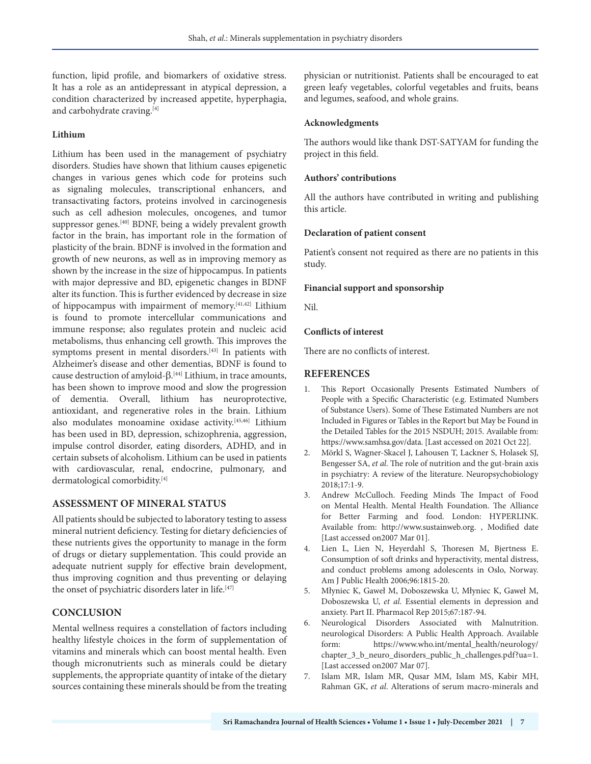function, lipid profile, and biomarkers of oxidative stress. It has a role as an antidepressant in atypical depression, a condition characterized by increased appetite, hyperphagia, and carbohydrate craving.<sup>[4]</sup>

## **Lithium**

Lithium has been used in the management of psychiatry disorders. Studies have shown that lithium causes epigenetic changes in various genes which code for proteins such as signaling molecules, transcriptional enhancers, and transactivating factors, proteins involved in carcinogenesis such as cell adhesion molecules, oncogenes, and tumor suppressor genes.<sup>[40]</sup> BDNF, being a widely prevalent growth factor in the brain, has important role in the formation of plasticity of the brain. BDNF is involved in the formation and growth of new neurons, as well as in improving memory as shown by the increase in the size of hippocampus. In patients with major depressive and BD, epigenetic changes in BDNF alter its function. This is further evidenced by decrease in size of hippocampus with impairment of memory.[41,42] Lithium is found to promote intercellular communications and immune response; also regulates protein and nucleic acid metabolisms, thus enhancing cell growth. This improves the symptoms present in mental disorders.<sup>[43]</sup> In patients with Alzheimer's disease and other dementias, BDNF is found to cause destruction of amyloid-β. [44] Lithium, in trace amounts, has been shown to improve mood and slow the progression of dementia. Overall, lithium has neuroprotective, antioxidant, and regenerative roles in the brain. Lithium also modulates monoamine oxidase activity.[45,46] Lithium has been used in BD, depression, schizophrenia, aggression, impulse control disorder, eating disorders, ADHD, and in certain subsets of alcoholism. Lithium can be used in patients with cardiovascular, renal, endocrine, pulmonary, and dermatological comorbidity.[4]

## **ASSESSMENT OF MINERAL STATUS**

All patients should be subjected to laboratory testing to assess mineral nutrient deficiency. Testing for dietary deficiencies of these nutrients gives the opportunity to manage in the form of drugs or dietary supplementation. This could provide an adequate nutrient supply for effective brain development, thus improving cognition and thus preventing or delaying the onset of psychiatric disorders later in life.<sup>[47]</sup>

# **CONCLUSION**

Mental wellness requires a constellation of factors including healthy lifestyle choices in the form of supplementation of vitamins and minerals which can boost mental health. Even though micronutrients such as minerals could be dietary supplements, the appropriate quantity of intake of the dietary sources containing these minerals should be from the treating

physician or nutritionist. Patients shall be encouraged to eat green leafy vegetables, colorful vegetables and fruits, beans and legumes, seafood, and whole grains.

## **Acknowledgments**

The authors would like thank DST-SATYAM for funding the project in this field.

## **Authors' contributions**

All the authors have contributed in writing and publishing this article.

## **Declaration of patient consent**

Patient's consent not required as there are no patients in this study.

## **Financial support and sponsorship**

Nil.

## **Conflicts of interest**

There are no conflicts of interest.

# **REFERENCES**

- 1. This Report Occasionally Presents Estimated Numbers of People with a Specific Characteristic (e.g. Estimated Numbers of Substance Users). Some of These Estimated Numbers are not Included in Figures or Tables in the Report but May be Found in the Detailed Tables for the 2015 NSDUH; 2015. Available from: https://www.samhsa.gov/data. [Last accessed on 2021 Oct 22].
- 2. Mörkl S, Wagner-Skacel J, Lahousen T, Lackner S, Holasek SJ, Bengesser SA, *et al*. The role of nutrition and the gut-brain axis in psychiatry: A review of the literature. Neuropsychobiology 2018;17:1-9.
- 3. Andrew McCulloch. Feeding Minds The Impact of Food on Mental Health. Mental Health Foundation. The Alliance for Better Farming and food. London: HYPERLINK. Available from: http://www.sustainweb.org. , Modified date [Last accessed on2007 Mar 01].
- 4. Lien L, Lien N, Heyerdahl S, Thoresen M, Bjertness E. Consumption of soft drinks and hyperactivity, mental distress, and conduct problems among adolescents in Oslo, Norway. Am J Public Health 2006;96:1815-20.
- 5. Młyniec K, Gaweł M, Doboszewska U, Młyniec K, Gaweł M, Doboszewska U, *et al*. Essential elements in depression and anxiety. Part II. Pharmacol Rep 2015;67:187-94.
- 6. Neurological Disorders Associated with Malnutrition. neurological Disorders: A Public Health Approach. Available form: https://www.who.int/mental\_health/neurology/ chapter\_3\_b\_neuro\_disorders\_public\_h\_challenges.pdf?ua=1. [Last accessed on2007 Mar 07].
- 7. Islam MR, Islam MR, Qusar MM, Islam MS, Kabir MH, Rahman GK, *et al*. Alterations of serum macro-minerals and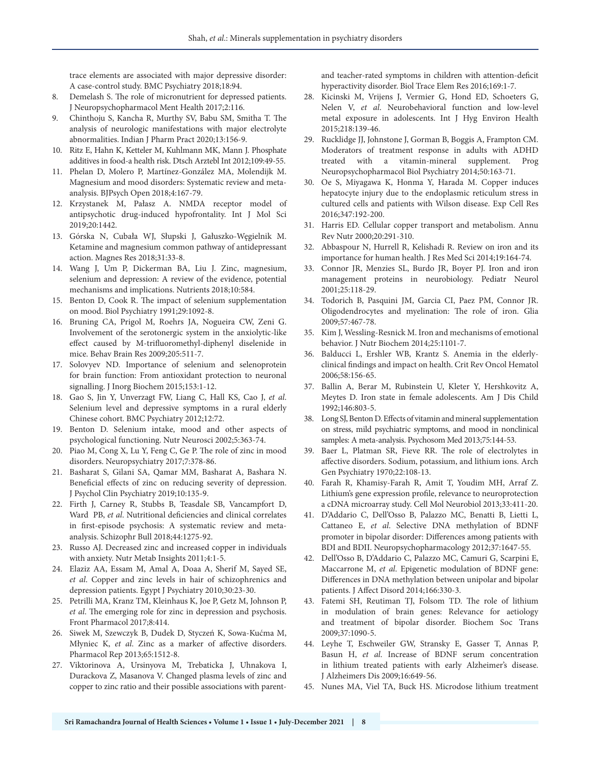trace elements are associated with major depressive disorder: A case-control study. BMC Psychiatry 2018;18:94.

- Demelash S. The role of micronutrient for depressed patients. J Neuropsychopharmacol Ment Health 2017;2:116.
- 9. Chinthoju S, Kancha R, Murthy SV, Babu SM, Smitha T. The analysis of neurologic manifestations with major electrolyte abnormalities. Indian J Pharm Pract 2020;13:156-9.
- 10. Ritz E, Hahn K, Ketteler M, Kuhlmann MK, Mann J. Phosphate additives in food-a health risk. Dtsch Arztebl Int 2012;109:49-55.
- 11. Phelan D, Molero P, Martínez-González MA, Molendijk M. Magnesium and mood disorders: Systematic review and metaanalysis. BJPsych Open 2018;4:167-79.
- 12. Krzystanek M, Pałasz A. NMDA receptor model of antipsychotic drug-induced hypofrontality. Int J Mol Sci 2019;20:1442.
- 13. Górska N, Cubała WJ, Słupski J, Gałuszko-Węgielnik M. Ketamine and magnesium common pathway of antidepressant action. Magnes Res 2018;31:33-8.
- 14. Wang J, Um P, Dickerman BA, Liu J. Zinc, magnesium, selenium and depression: A review of the evidence, potential mechanisms and implications. Nutrients 2018;10:584.
- 15. Benton D, Cook R. The impact of selenium supplementation on mood. Biol Psychiatry 1991;29:1092-8.
- 16. Bruning CA, Prigol M, Roehrs JA, Nogueira CW, Zeni G. Involvement of the serotonergic system in the anxiolytic-like effect caused by M-trifluoromethyl-diphenyl diselenide in mice. Behav Brain Res 2009;205:511-7.
- 17. Solovyev ND. Importance of selenium and selenoprotein for brain function: From antioxidant protection to neuronal signalling. J Inorg Biochem 2015;153:1-12.
- 18. Gao S, Jin Y, Unverzagt FW, Liang C, Hall KS, Cao J, *et al*. Selenium level and depressive symptoms in a rural elderly Chinese cohort. BMC Psychiatry 2012;12:72.
- 19. Benton D. Selenium intake, mood and other aspects of psychological functioning. Nutr Neurosci 2002;5:363-74.
- 20. Piao M, Cong X, Lu Y, Feng C, Ge P. The role of zinc in mood disorders. Neuropsychiatry 2017;7:378-86.
- 21. Basharat S, Gilani SA, Qamar MM, Basharat A, Bashara N. Beneficial effects of zinc on reducing severity of depression. J Psychol Clin Psychiatry 2019;10:135-9.
- 22. Firth J, Carney R, Stubbs B, Teasdale SB, Vancampfort D, Ward PB, *et al*. Nutritional deficiencies and clinical correlates in first-episode psychosis: A systematic review and metaanalysis. Schizophr Bull 2018;44:1275-92.
- 23. Russo AJ. Decreased zinc and increased copper in individuals with anxiety. Nutr Metab Insights 2011;4:1-5.
- 24. Elaziz AA, Essam M, Amal A, Doaa A, Sherif M, Sayed SE, *et al*. Copper and zinc levels in hair of schizophrenics and depression patients. Egypt J Psychiatry 2010;30:23-30.
- 25. Petrilli MA, Kranz TM, Kleinhaus K, Joe P, Getz M, Johnson P, *et al*. The emerging role for zinc in depression and psychosis. Front Pharmacol 2017;8:414.
- 26. Siwek M, Szewczyk B, Dudek D, Styczeń K, Sowa-Kućma M, Młyniec K, *et al*. Zinc as a marker of affective disorders. Pharmacol Rep 2013;65:1512-8.
- 27. Viktorinova A, Ursinyova M, Trebaticka J, Uhnakova I, Durackova Z, Masanova V. Changed plasma levels of zinc and copper to zinc ratio and their possible associations with parent-

and teacher-rated symptoms in children with attention-deficit hyperactivity disorder. Biol Trace Elem Res 2016;169:1-7.

- 28. Kicinski M, Vrijens J, Vermier G, Hond ED, Schoeters G, Nelen V, *et al*. Neurobehavioral function and low-level metal exposure in adolescents. Int J Hyg Environ Health 2015;218:139-46.
- 29. Rucklidge JJ, Johnstone J, Gorman B, Boggis A, Frampton CM. Moderators of treatment response in adults with ADHD treated with a vitamin-mineral supplement. Prog Neuropsychopharmacol Biol Psychiatry 2014;50:163-71.
- 30. Oe S, Miyagawa K, Honma Y, Harada M. Copper induces hepatocyte injury due to the endoplasmic reticulum stress in cultured cells and patients with Wilson disease. Exp Cell Res 2016;347:192-200.
- 31. Harris ED. Cellular copper transport and metabolism. Annu Rev Nutr 2000;20:291-310.
- 32. Abbaspour N, Hurrell R, Kelishadi R. Review on iron and its importance for human health. J Res Med Sci 2014;19:164-74.
- 33. Connor JR, Menzies SL, Burdo JR, Boyer PJ. Iron and iron management proteins in neurobiology. Pediatr Neurol 2001;25:118-29.
- 34. Todorich B, Pasquini JM, Garcia CI, Paez PM, Connor JR. Oligodendrocytes and myelination: The role of iron. Glia 2009;57:467-78.
- 35. Kim J, Wessling-Resnick M. Iron and mechanisms of emotional behavior. J Nutr Biochem 2014;25:1101-7.
- 36. Balducci L, Ershler WB, Krantz S. Anemia in the elderlyclinical findings and impact on health. Crit Rev Oncol Hematol 2006;58:156-65.
- 37. Ballin A, Berar M, Rubinstein U, Kleter Y, Hershkovitz A, Meytes D. Iron state in female adolescents. Am J Dis Child 1992;146:803-5.
- 38. Long SJ, Benton D. Effects of vitamin and mineral supplementation on stress, mild psychiatric symptoms, and mood in nonclinical samples: A meta-analysis. Psychosom Med 2013;75:144-53.
- 39. Baer L, Platman SR, Fieve RR. The role of electrolytes in affective disorders. Sodium, potassium, and lithium ions. Arch Gen Psychiatry 1970;22:108-13.
- 40. Farah R, Khamisy-Farah R, Amit T, Youdim MH, Arraf Z. Lithium's gene expression profile, relevance to neuroprotection a cDNA microarray study. Cell Mol Neurobiol 2013;33:411-20.
- 41. D'Addario C, Dell'Osso B, Palazzo MC, Benatti B, Lietti L, Cattaneo E, *et al*. Selective DNA methylation of BDNF promoter in bipolar disorder: Differences among patients with BDI and BDII. Neuropsychopharmacology 2012;37:1647-55.
- 42. Dell'Osso B, D'Addario C, Palazzo MC, Camuri G, Scarpini E, Maccarrone M, *et al*. Epigenetic modulation of BDNF gene: Differences in DNA methylation between unipolar and bipolar patients. J Affect Disord 2014;166:330-3.
- 43. Fatemi SH, Reutiman TJ, Folsom TD. The role of lithium in modulation of brain genes: Relevance for aetiology and treatment of bipolar disorder. Biochem Soc Trans 2009;37:1090-5.
- 44. Leyhe T, Eschweiler GW, Stransky E, Gasser T, Annas P, Basun H, *et al*. Increase of BDNF serum concentration in lithium treated patients with early Alzheimer's disease. J Alzheimers Dis 2009;16:649-56.
- 45. Nunes MA, Viel TA, Buck HS. Microdose lithium treatment